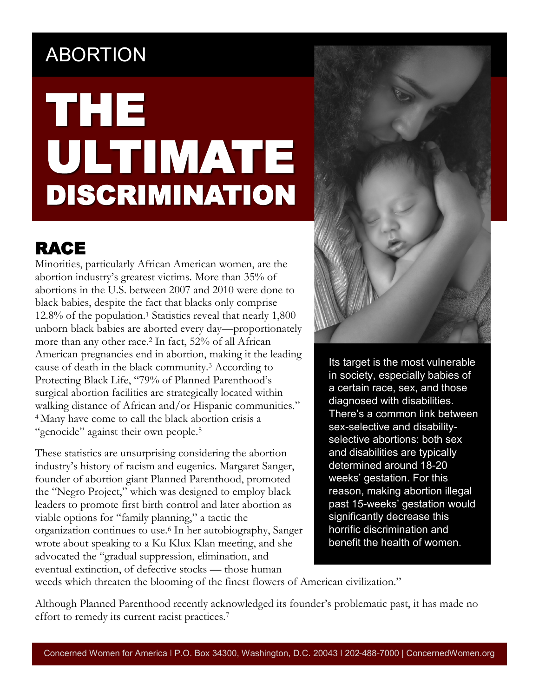#### A ABORTION

# THE ULTIMATE DISCRIMINATION

#### RACE

Minorities, particularly African American women, are the abortion industry's greatest victims. More than 35% of abortions in the U.S. between 2007 and 2010 were done to black babies, despite the fact that blacks only comprise 12.8% of the population.<sup>1</sup> Statistics reveal that nearly 1,800 unborn black babies are aborted every day—proportionately more than any other race.<sup>2</sup> In fact, 52% of all African American pregnancies end in abortion, making it the leading cause of death in the black community.<sup>3</sup> According to Protecting Black Life, "79% of Planned Parenthood's surgical abortion facilities are strategically located within walking distance of African and/or Hispanic communities." <sup>4</sup>Many have come to call the black abortion crisis a "genocide" against their own people.<sup>5</sup>

These statistics are unsurprising considering the abortion industry's history of racism and eugenics. Margaret Sanger, founder of abortion giant Planned Parenthood, promoted the "Negro Project," which was designed to employ black leaders to promote first birth control and later abortion as viable options for "family planning," a tactic the organization continues to use.<sup>6</sup> In her autobiography, Sanger wrote about speaking to a Ku Klux Klan meeting, and she advocated the "gradual suppression, elimination, and eventual extinction, of defective stocks — those human



Its target is the most vulnerable in society, especially babies of a certain race, sex, and those diagnosed with disabilities. There's a common link between sex-selective and disabilityselective abortions: both sex and disabilities are typically determined around 18-20 weeks' gestation. For this reason, making abortion illegal past 15-weeks' gestation would significantly decrease this horrific discrimination and benefit the health of women.

weeds which threaten the blooming of the finest flowers of American civilization."

Although Planned Parenthood recently acknowledged its founder's problematic past, it has made no effort to remedy its current racist practices.<sup>7</sup>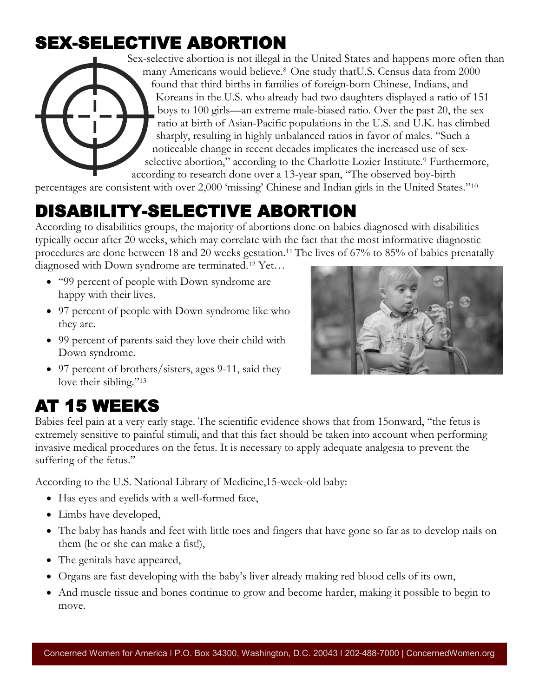#### SEX-SELECTIVE ABORTION

Sex-selective abortion is not illegal in the United States and happens more often than many Americans would believe.8 One study thatU.S. Census data from 2000 found that third births in families of foreign-born Chinese, Indians, and Koreans in the U.S. who already had two daughters displayed a ratio of 151 boys to 100 girls—an extreme male-biased ratio. Over the past 20, the sex ratio at birth of Asian-Pacific populations in the U.S. and U.K. has climbed sharply, resulting in highly unbalanced ratios in favor of males. "Such a noticeable change in recent decades implicates the increased use of sexselective abortion," according to the Charlotte Lozier Institute.<sup>9</sup> Furthermore, according to research done over a 13-year span, "The observed boy-birth

percentages are consistent with over 2,000 'missing' Chinese and Indian girls in the United States."<sup>10</sup>

#### DISABILITY-SELECTIVE ABORTION

According to disabilities groups, the majority of abortions done on babies diagnosed with disabilities typically occur after 20 weeks, which may correlate with the fact that the most informative diagnostic procedures are done between 18 and 20 weeks gestation.11 The lives of 67% to 85% of babies prenatally

diagnosed with Down syndrome are terminated.<sup>12</sup> Yet…

- "99 percent of people with Down syndrome are happy with their lives.
- 97 percent of people with Down syndrome like who they are.
- 99 percent of parents said they love their child with Down syndrome.
- 97 percent of brothers/sisters, ages 9-11, said they love their sibling."<sup>13</sup>

### AT 15 WEEKS

Babies feel pain at a very early stage. The scientific evidence shows that from 15onward, "the fetus is extremely sensitive to painful stimuli, and that this fact should be taken into account when performing invasive medical procedures on the fetus. It is necessary to apply adequate analgesia to prevent the suffering of the fetus."

According to the U.S. National Library of Medicine,15-week-old baby:

- Has eyes and eyelids with a well-formed face,
- Limbs have developed,
- The baby has hands and feet with little toes and fingers that have gone so far as to develop nails on them (he or she can make a fist!),
- The genitals have appeared,
- Organs are fast developing with the baby's liver already making red blood cells of its own,
- And muscle tissue and bones continue to grow and become harder, making it possible to begin to move.